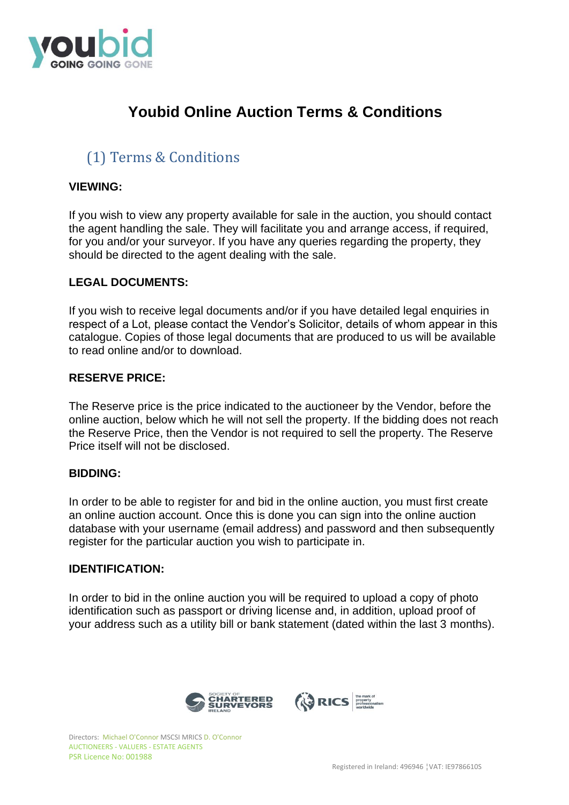

# **Youbid Online Auction Terms & Conditions**

# (1) Terms & Conditions

## **VIEWING:**

If you wish to view any property available for sale in the auction, you should contact the agent handling the sale. They will facilitate you and arrange access, if required, for you and/or your surveyor. If you have any queries regarding the property, they should be directed to the agent dealing with the sale.

## **LEGAL DOCUMENTS:**

If you wish to receive legal documents and/or if you have detailed legal enquiries in respect of a Lot, please contact the Vendor's Solicitor, details of whom appear in this catalogue. Copies of those legal documents that are produced to us will be available to read online and/or to download.

## **RESERVE PRICE:**

The Reserve price is the price indicated to the auctioneer by the Vendor, before the online auction, below which he will not sell the property. If the bidding does not reach the Reserve Price, then the Vendor is not required to sell the property. The Reserve Price itself will not be disclosed.

### **BIDDING:**

In order to be able to register for and bid in the online auction, you must first create an online auction account. Once this is done you can sign into the online auction database with your username (email address) and password and then subsequently register for the particular auction you wish to participate in.

### **IDENTIFICATION:**

In order to bid in the online auction you will be required to upload a copy of photo identification such as passport or driving license and, in addition, upload proof of your address such as a utility bill or bank statement (dated within the last 3 months).

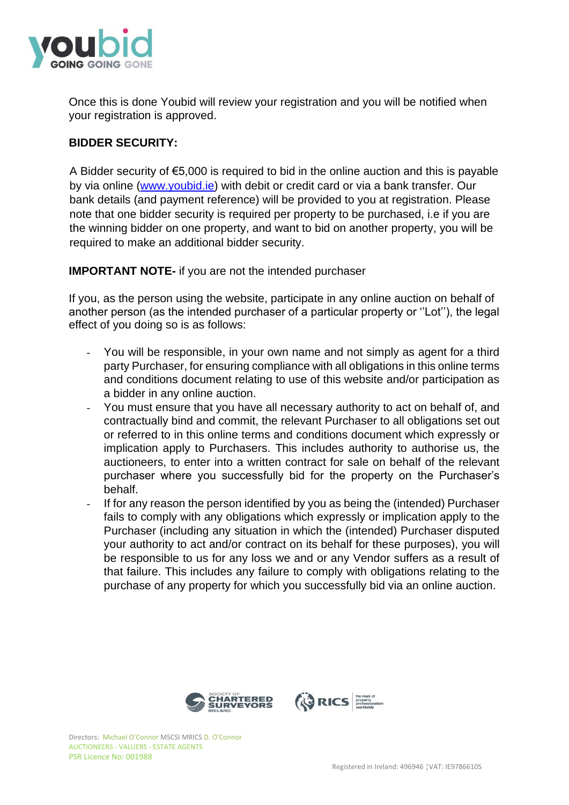

Once this is done Youbid will review your registration and you will be notified when your registration is approved.

# **BIDDER SECURITY:**

A Bidder security of €5,000 is required to bid in the online auction and this is payable by via online [\(www.youbid.ie\)](http://www.youbid.ie/) with debit or credit card or via a bank transfer. Our bank details (and payment reference) will be provided to you at registration. Please note that one bidder security is required per property to be purchased, i.e if you are the winning bidder on one property, and want to bid on another property, you will be required to make an additional bidder security.

# **IMPORTANT NOTE-** if you are not the intended purchaser

If you, as the person using the website, participate in any online auction on behalf of another person (as the intended purchaser of a particular property or ''Lot''), the legal effect of you doing so is as follows:

- You will be responsible, in your own name and not simply as agent for a third party Purchaser, for ensuring compliance with all obligations in this online terms and conditions document relating to use of this website and/or participation as a bidder in any online auction.
- You must ensure that you have all necessary authority to act on behalf of, and contractually bind and commit, the relevant Purchaser to all obligations set out or referred to in this online terms and conditions document which expressly or implication apply to Purchasers. This includes authority to authorise us, the auctioneers, to enter into a written contract for sale on behalf of the relevant purchaser where you successfully bid for the property on the Purchaser's behalf.
- If for any reason the person identified by you as being the (intended) Purchaser fails to comply with any obligations which expressly or implication apply to the Purchaser (including any situation in which the (intended) Purchaser disputed your authority to act and/or contract on its behalf for these purposes), you will be responsible to us for any loss we and or any Vendor suffers as a result of that failure. This includes any failure to comply with obligations relating to the purchase of any property for which you successfully bid via an online auction.

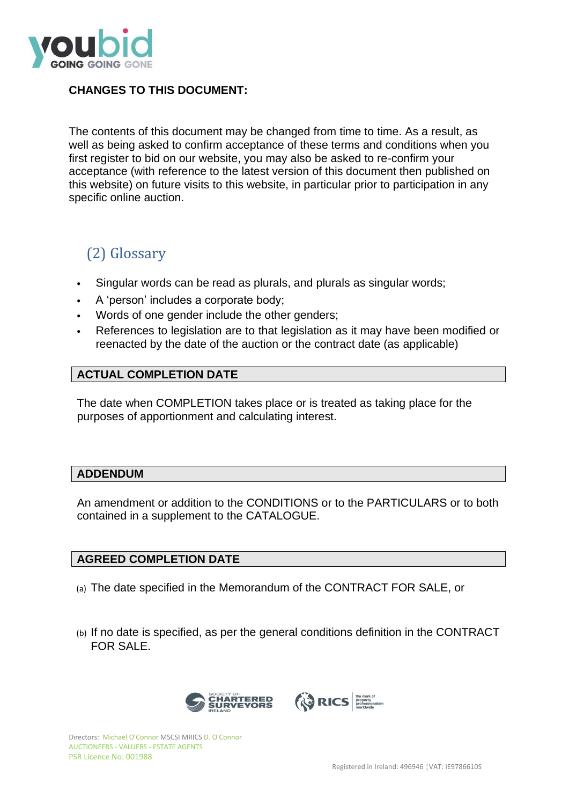

# **CHANGES TO THIS DOCUMENT:**

The contents of this document may be changed from time to time. As a result, as well as being asked to confirm acceptance of these terms and conditions when you first register to bid on our website, you may also be asked to re-confirm your acceptance (with reference to the latest version of this document then published on this website) on future visits to this website, in particular prior to participation in any specific online auction.

# (2) Glossary

- Singular words can be read as plurals, and plurals as singular words;
- A 'person' includes a corporate body;
- Words of one gender include the other genders;
- References to legislation are to that legislation as it may have been modified or reenacted by the date of the auction or the contract date (as applicable)

## **ACTUAL COMPLETION DATE**

The date when COMPLETION takes place or is treated as taking place for the purposes of apportionment and calculating interest.

### **ADDENDUM**

An amendment or addition to the CONDITIONS or to the PARTICULARS or to both contained in a supplement to the CATALOGUE.

## **AGREED COMPLETION DATE**

- (a) The date specified in the Memorandum of the CONTRACT FOR SALE, or
- (b) If no date is specified, as per the general conditions definition in the CONTRACT FOR SALE.

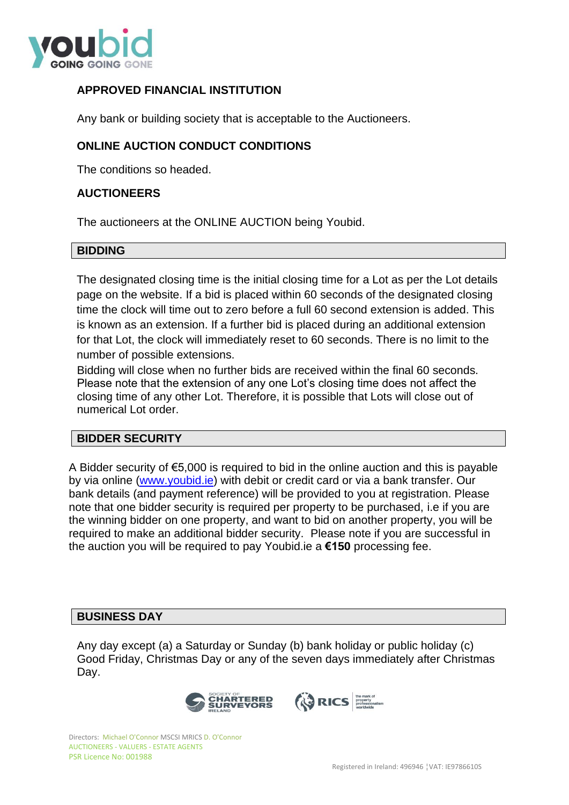

# **APPROVED FINANCIAL INSTITUTION**

Any bank or building society that is acceptable to the Auctioneers.

# **ONLINE AUCTION CONDUCT CONDITIONS**

The conditions so headed.

## **AUCTIONEERS**

The auctioneers at the ONLINE AUCTION being Youbid.

## **BIDDING**

The designated closing time is the initial closing time for a Lot as per the Lot details page on the website. If a bid is placed within 60 seconds of the designated closing time the clock will time out to zero before a full 60 second extension is added. This is known as an extension. If a further bid is placed during an additional extension for that Lot, the clock will immediately reset to 60 seconds. There is no limit to the number of possible extensions.

Bidding will close when no further bids are received within the final 60 seconds. Please note that the extension of any one Lot's closing time does not affect the closing time of any other Lot. Therefore, it is possible that Lots will close out of numerical Lot order.

### **BIDDER SECURITY**

A Bidder security of €5,000 is required to bid in the online auction and this is payable by via online [\(www.youbid.ie\)](http://www.youbid.ie/) with debit or credit card or via a bank transfer. Our bank details (and payment reference) will be provided to you at registration. Please note that one bidder security is required per property to be purchased, i.e if you are the winning bidder on one property, and want to bid on another property, you will be required to make an additional bidder security. Please note if you are successful in the auction you will be required to pay Youbid.ie a **€150** processing fee.

### **BUSINESS DAY**

Any day except (a) a Saturday or Sunday (b) bank holiday or public holiday (c) Good Friday, Christmas Day or any of the seven days immediately after Christmas Day.

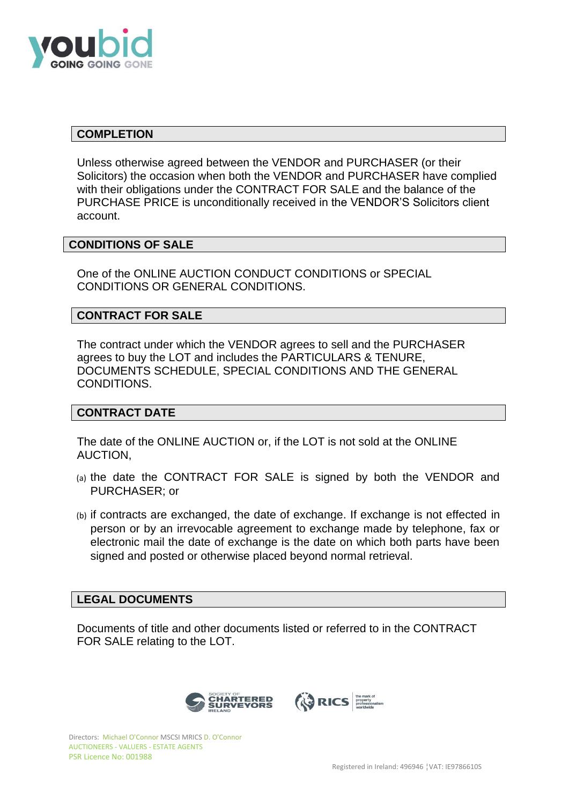

## **COMPLETION**

Unless otherwise agreed between the VENDOR and PURCHASER (or their Solicitors) the occasion when both the VENDOR and PURCHASER have complied with their obligations under the CONTRACT FOR SALE and the balance of the PURCHASE PRICE is unconditionally received in the VENDOR'S Solicitors client account.

## **CONDITIONS OF SALE**

One of the ONLINE AUCTION CONDUCT CONDITIONS or SPECIAL CONDITIONS OR GENERAL CONDITIONS.

## **CONTRACT FOR SALE**

The contract under which the VENDOR agrees to sell and the PURCHASER agrees to buy the LOT and includes the PARTICULARS & TENURE, DOCUMENTS SCHEDULE, SPECIAL CONDITIONS AND THE GENERAL CONDITIONS.

### **CONTRACT DATE**

The date of the ONLINE AUCTION or, if the LOT is not sold at the ONLINE AUCTION,

- (a) the date the CONTRACT FOR SALE is signed by both the VENDOR and PURCHASER; or
- (b) if contracts are exchanged, the date of exchange. If exchange is not effected in person or by an irrevocable agreement to exchange made by telephone, fax or electronic mail the date of exchange is the date on which both parts have been signed and posted or otherwise placed beyond normal retrieval.

### **LEGAL DOCUMENTS**

Documents of title and other documents listed or referred to in the CONTRACT FOR SALE relating to the LOT.

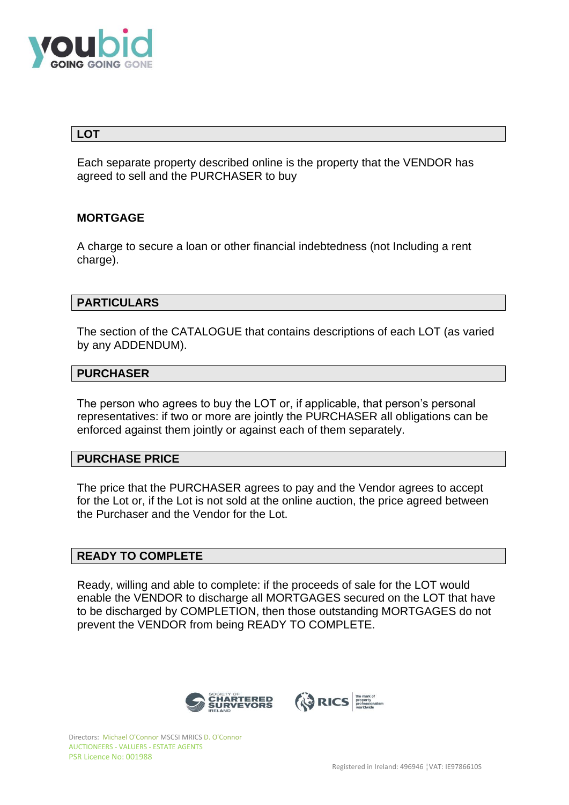

## **LOT**

Each separate property described online is the property that the VENDOR has agreed to sell and the PURCHASER to buy

## **MORTGAGE**

A charge to secure a loan or other financial indebtedness (not Including a rent charge).

## **PARTICULARS**

The section of the CATALOGUE that contains descriptions of each LOT (as varied by any ADDENDUM).

## **PURCHASER**

The person who agrees to buy the LOT or, if applicable, that person's personal representatives: if two or more are jointly the PURCHASER all obligations can be enforced against them jointly or against each of them separately.

## **PURCHASE PRICE**

The price that the PURCHASER agrees to pay and the Vendor agrees to accept for the Lot or, if the Lot is not sold at the online auction, the price agreed between the Purchaser and the Vendor for the Lot.

## **READY TO COMPLETE**

Ready, willing and able to complete: if the proceeds of sale for the LOT would enable the VENDOR to discharge all MORTGAGES secured on the LOT that have to be discharged by COMPLETION, then those outstanding MORTGAGES do not prevent the VENDOR from being READY TO COMPLETE.

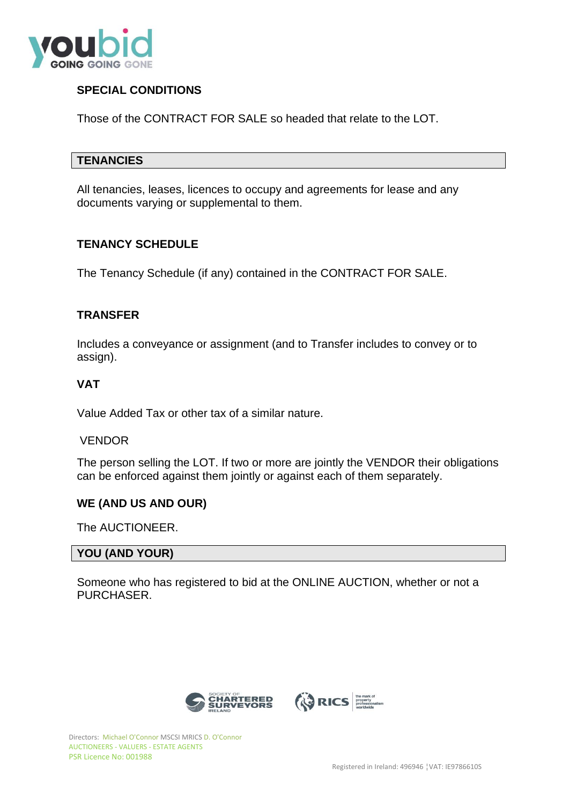

# **SPECIAL CONDITIONS**

Those of the CONTRACT FOR SALE so headed that relate to the LOT.

### **TENANCIES**

All tenancies, leases, licences to occupy and agreements for lease and any documents varying or supplemental to them.

## **TENANCY SCHEDULE**

The Tenancy Schedule (if any) contained in the CONTRACT FOR SALE.

## **TRANSFER**

Includes a conveyance or assignment (and to Transfer includes to convey or to assign).

## **VAT**

Value Added Tax or other tax of a similar nature.

### VENDOR

The person selling the LOT. If two or more are jointly the VENDOR their obligations can be enforced against them jointly or against each of them separately.

### **WE (AND US AND OUR)**

The AUCTIONEER.

### **YOU (AND YOUR)**

Someone who has registered to bid at the ONLINE AUCTION, whether or not a PURCHASER.



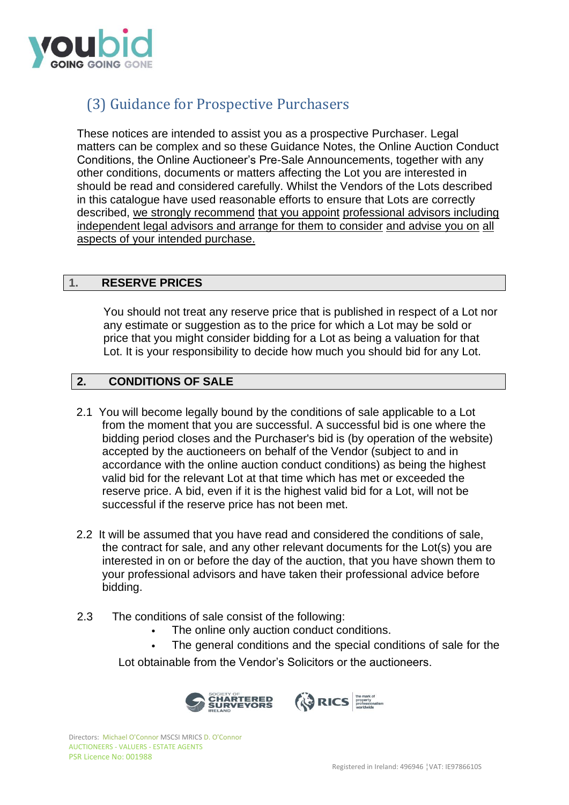

# (3) Guidance for Prospective Purchasers

These notices are intended to assist you as a prospective Purchaser. Legal matters can be complex and so these Guidance Notes, the Online Auction Conduct Conditions, the Online Auctioneer's Pre-Sale Announcements, together with any other conditions, documents or matters affecting the Lot you are interested in should be read and considered carefully. Whilst the Vendors of the Lots described in this catalogue have used reasonable efforts to ensure that Lots are correctly described, we strongly recommend that you appoint professional advisors including independent legal advisors and arrange for them to consider and advise you on all aspects of your intended purchase.

# **1. RESERVE PRICES**

You should not treat any reserve price that is published in respect of a Lot nor any estimate or suggestion as to the price for which a Lot may be sold or price that you might consider bidding for a Lot as being a valuation for that Lot. It is your responsibility to decide how much you should bid for any Lot.

# **2. CONDITIONS OF SALE**

- 2.1 You will become legally bound by the conditions of sale applicable to a Lot from the moment that you are successful. A successful bid is one where the bidding period closes and the Purchaser's bid is (by operation of the website) accepted by the auctioneers on behalf of the Vendor (subject to and in accordance with the online auction conduct conditions) as being the highest valid bid for the relevant Lot at that time which has met or exceeded the reserve price. A bid, even if it is the highest valid bid for a Lot, will not be successful if the reserve price has not been met.
- 2.2 It will be assumed that you have read and considered the conditions of sale, the contract for sale, and any other relevant documents for the Lot(s) you are interested in on or before the day of the auction, that you have shown them to your professional advisors and have taken their professional advice before bidding.
- 2.3 The conditions of sale consist of the following:
	- The online only auction conduct conditions.
	- The general conditions and the special conditions of sale for the

Lot obtainable from the Vendor's Solicitors or the auctioneers.

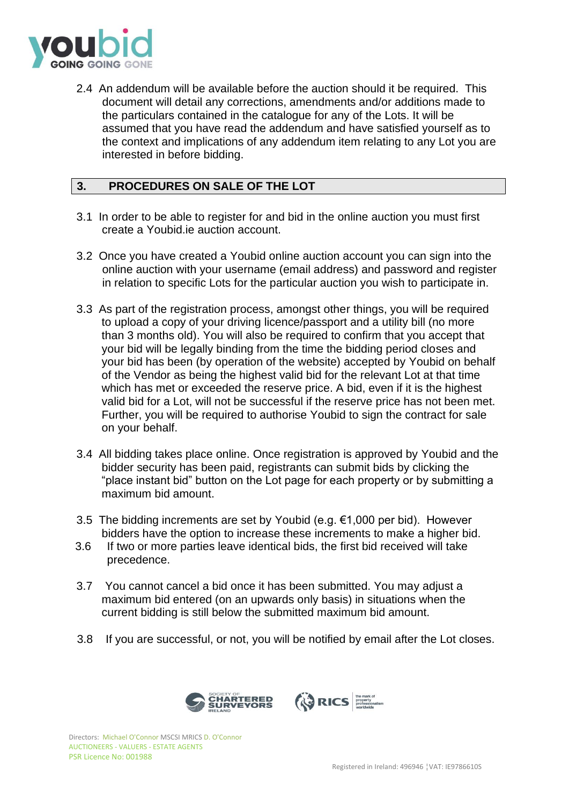

2.4 An addendum will be available before the auction should it be required. This document will detail any corrections, amendments and/or additions made to the particulars contained in the catalogue for any of the Lots. It will be assumed that you have read the addendum and have satisfied yourself as to the context and implications of any addendum item relating to any Lot you are interested in before bidding.

# **3. PROCEDURES ON SALE OF THE LOT**

- 3.1 In order to be able to register for and bid in the online auction you must first create a Youbid.ie auction account.
- 3.2 Once you have created a Youbid online auction account you can sign into the online auction with your username (email address) and password and register in relation to specific Lots for the particular auction you wish to participate in.
- 3.3 As part of the registration process, amongst other things, you will be required to upload a copy of your driving licence/passport and a utility bill (no more than 3 months old). You will also be required to confirm that you accept that your bid will be legally binding from the time the bidding period closes and your bid has been (by operation of the website) accepted by Youbid on behalf of the Vendor as being the highest valid bid for the relevant Lot at that time which has met or exceeded the reserve price. A bid, even if it is the highest valid bid for a Lot, will not be successful if the reserve price has not been met. Further, you will be required to authorise Youbid to sign the contract for sale on your behalf.
- 3.4 All bidding takes place online. Once registration is approved by Youbid and the bidder security has been paid, registrants can submit bids by clicking the "place instant bid" button on the Lot page for each property or by submitting a maximum bid amount.
- 3.5 The bidding increments are set by Youbid (e.g.  $€1,000$  per bid). However bidders have the option to increase these increments to make a higher bid.
- 3.6 If two or more parties leave identical bids, the first bid received will take precedence.
- 3.7 You cannot cancel a bid once it has been submitted. You may adjust a maximum bid entered (on an upwards only basis) in situations when the current bidding is still below the submitted maximum bid amount.
- 3.8 If you are successful, or not, you will be notified by email after the Lot closes.

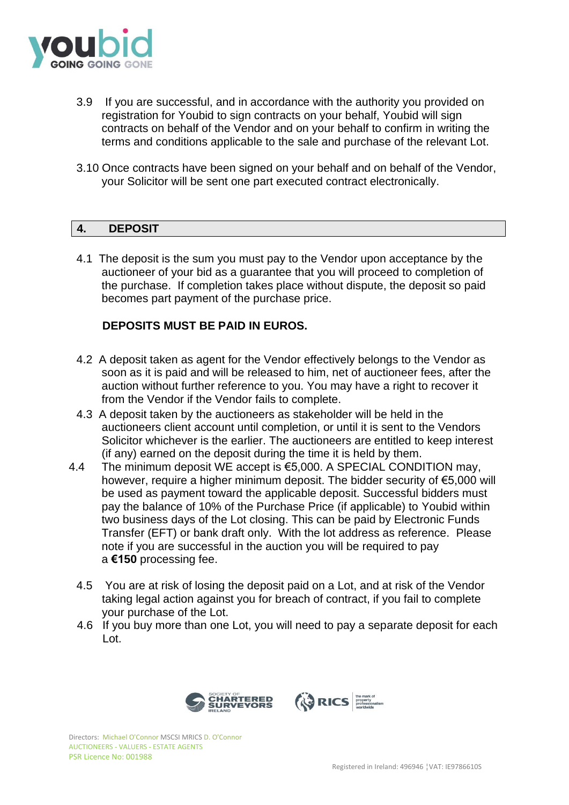

- 3.9 If you are successful, and in accordance with the authority you provided on registration for Youbid to sign contracts on your behalf, Youbid will sign contracts on behalf of the Vendor and on your behalf to confirm in writing the terms and conditions applicable to the sale and purchase of the relevant Lot.
- 3.10 Once contracts have been signed on your behalf and on behalf of the Vendor, your Solicitor will be sent one part executed contract electronically.

# **4. DEPOSIT**

4.1 The deposit is the sum you must pay to the Vendor upon acceptance by the auctioneer of your bid as a guarantee that you will proceed to completion of the purchase. If completion takes place without dispute, the deposit so paid becomes part payment of the purchase price.

# **DEPOSITS MUST BE PAID IN EUROS.**

- 4.2 A deposit taken as agent for the Vendor effectively belongs to the Vendor as soon as it is paid and will be released to him, net of auctioneer fees, after the auction without further reference to you. You may have a right to recover it from the Vendor if the Vendor fails to complete.
- 4.3 A deposit taken by the auctioneers as stakeholder will be held in the auctioneers client account until completion, or until it is sent to the Vendors Solicitor whichever is the earlier. The auctioneers are entitled to keep interest (if any) earned on the deposit during the time it is held by them.
- 4.4 The minimum deposit WE accept is  $65,000$ . A SPECIAL CONDITION may, however, require a higher minimum deposit. The bidder security of €5,000 will be used as payment toward the applicable deposit. Successful bidders must pay the balance of 10% of the Purchase Price (if applicable) to Youbid within two business days of the Lot closing. This can be paid by Electronic Funds Transfer (EFT) or bank draft only. With the lot address as reference. Please note if you are successful in the auction you will be required to pay a **€150** processing fee.
	- 4.5 You are at risk of losing the deposit paid on a Lot, and at risk of the Vendor taking legal action against you for breach of contract, if you fail to complete your purchase of the Lot.
	- 4.6 If you buy more than one Lot, you will need to pay a separate deposit for each Lot.

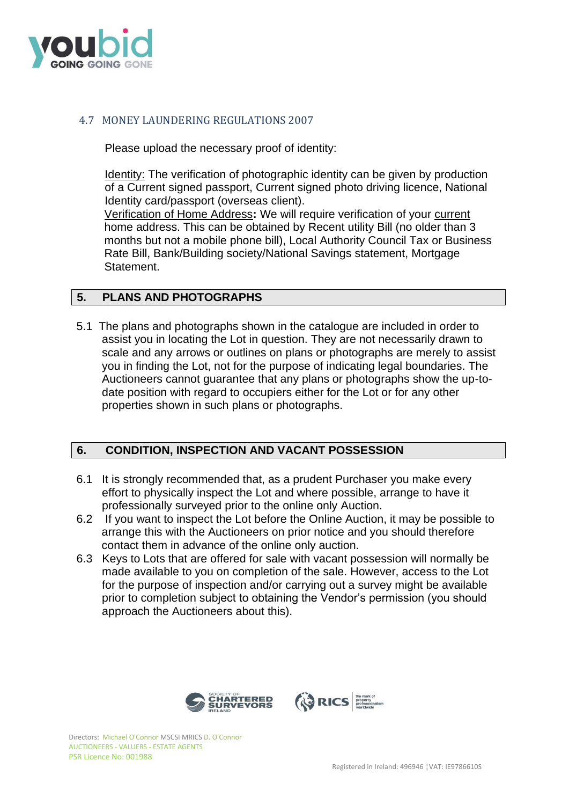

# 4.7 MONEY LAUNDERING REGULATIONS 2007

Please upload the necessary proof of identity:

Identity: The verification of photographic identity can be given by production of a Current signed passport, Current signed photo driving licence, National Identity card/passport (overseas client).

Verification of Home Address**:** We will require verification of your current home address. This can be obtained by Recent utility Bill (no older than 3 months but not a mobile phone bill), Local Authority Council Tax or Business Rate Bill, Bank/Building society/National Savings statement, Mortgage Statement.

# **5. PLANS AND PHOTOGRAPHS**

5.1 The plans and photographs shown in the catalogue are included in order to assist you in locating the Lot in question. They are not necessarily drawn to scale and any arrows or outlines on plans or photographs are merely to assist you in finding the Lot, not for the purpose of indicating legal boundaries. The Auctioneers cannot guarantee that any plans or photographs show the up-todate position with regard to occupiers either for the Lot or for any other properties shown in such plans or photographs.

## **6. CONDITION, INSPECTION AND VACANT POSSESSION**

- 6.1 It is strongly recommended that, as a prudent Purchaser you make every effort to physically inspect the Lot and where possible, arrange to have it professionally surveyed prior to the online only Auction.
- 6.2 If you want to inspect the Lot before the Online Auction, it may be possible to arrange this with the Auctioneers on prior notice and you should therefore contact them in advance of the online only auction.
- 6.3 Keys to Lots that are offered for sale with vacant possession will normally be made available to you on completion of the sale. However, access to the Lot for the purpose of inspection and/or carrying out a survey might be available prior to completion subject to obtaining the Vendor's permission (you should approach the Auctioneers about this).

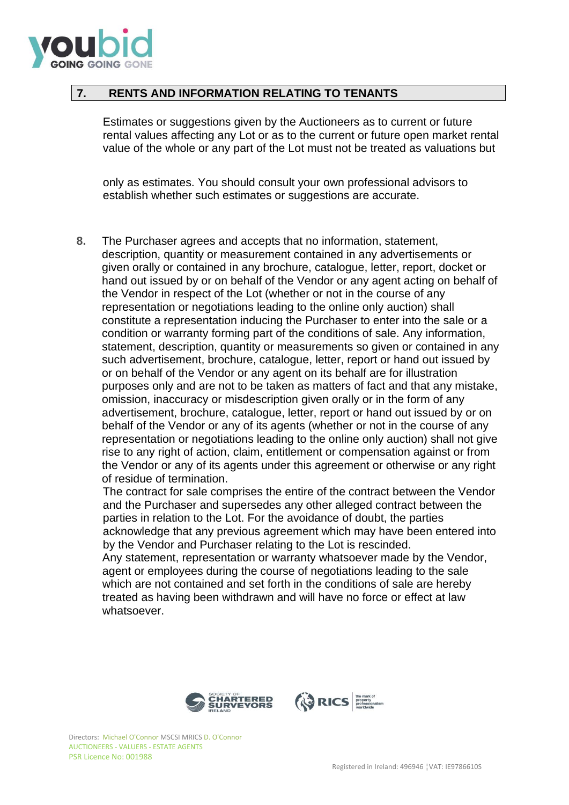

## **7. RENTS AND INFORMATION RELATING TO TENANTS**

Estimates or suggestions given by the Auctioneers as to current or future rental values affecting any Lot or as to the current or future open market rental value of the whole or any part of the Lot must not be treated as valuations but

only as estimates. You should consult your own professional advisors to establish whether such estimates or suggestions are accurate.

**8.** The Purchaser agrees and accepts that no information, statement, description, quantity or measurement contained in any advertisements or given orally or contained in any brochure, catalogue, letter, report, docket or hand out issued by or on behalf of the Vendor or any agent acting on behalf of the Vendor in respect of the Lot (whether or not in the course of any representation or negotiations leading to the online only auction) shall constitute a representation inducing the Purchaser to enter into the sale or a condition or warranty forming part of the conditions of sale. Any information, statement, description, quantity or measurements so given or contained in any such advertisement, brochure, catalogue, letter, report or hand out issued by or on behalf of the Vendor or any agent on its behalf are for illustration purposes only and are not to be taken as matters of fact and that any mistake, omission, inaccuracy or misdescription given orally or in the form of any advertisement, brochure, catalogue, letter, report or hand out issued by or on behalf of the Vendor or any of its agents (whether or not in the course of any representation or negotiations leading to the online only auction) shall not give rise to any right of action, claim, entitlement or compensation against or from the Vendor or any of its agents under this agreement or otherwise or any right of residue of termination.

The contract for sale comprises the entire of the contract between the Vendor and the Purchaser and supersedes any other alleged contract between the parties in relation to the Lot. For the avoidance of doubt, the parties acknowledge that any previous agreement which may have been entered into by the Vendor and Purchaser relating to the Lot is rescinded.

Any statement, representation or warranty whatsoever made by the Vendor, agent or employees during the course of negotiations leading to the sale which are not contained and set forth in the conditions of sale are hereby treated as having been withdrawn and will have no force or effect at law whatsoever.

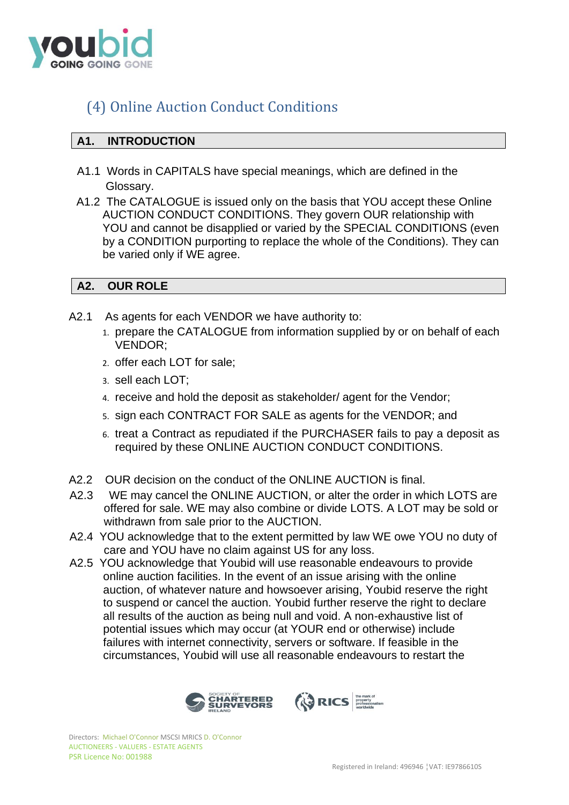

# (4) Online Auction Conduct Conditions

# **A1. INTRODUCTION**

- A1.1 Words in CAPITALS have special meanings, which are defined in the Glossary.
- A1.2 The CATALOGUE is issued only on the basis that YOU accept these Online AUCTION CONDUCT CONDITIONS. They govern OUR relationship with YOU and cannot be disapplied or varied by the SPECIAL CONDITIONS (even by a CONDITION purporting to replace the whole of the Conditions). They can be varied only if WE agree.

# **A2. OUR ROLE**

- A2.1 As agents for each VENDOR we have authority to: 1. prepare the CATALOGUE from information supplied by or on behalf of each
	- VENDOR;
	- 2. offer each LOT for sale;
	- 3. sell each LOT;
	- 4. receive and hold the deposit as stakeholder/ agent for the Vendor;
	- 5. sign each CONTRACT FOR SALE as agents for the VENDOR; and
	- 6. treat a Contract as repudiated if the PURCHASER fails to pay a deposit as required by these ONLINE AUCTION CONDUCT CONDITIONS.
- A2.2 OUR decision on the conduct of the ONLINE AUCTION is final.
- A2.3 WE may cancel the ONLINE AUCTION, or alter the order in which LOTS are offered for sale. WE may also combine or divide LOTS. A LOT may be sold or withdrawn from sale prior to the AUCTION.
- A2.4 YOU acknowledge that to the extent permitted by law WE owe YOU no duty of care and YOU have no claim against US for any loss.
- A2.5 YOU acknowledge that Youbid will use reasonable endeavours to provide online auction facilities. In the event of an issue arising with the online auction, of whatever nature and howsoever arising, Youbid reserve the right to suspend or cancel the auction. Youbid further reserve the right to declare all results of the auction as being null and void. A non-exhaustive list of potential issues which may occur (at YOUR end or otherwise) include failures with internet connectivity, servers or software. If feasible in the circumstances, Youbid will use all reasonable endeavours to restart the

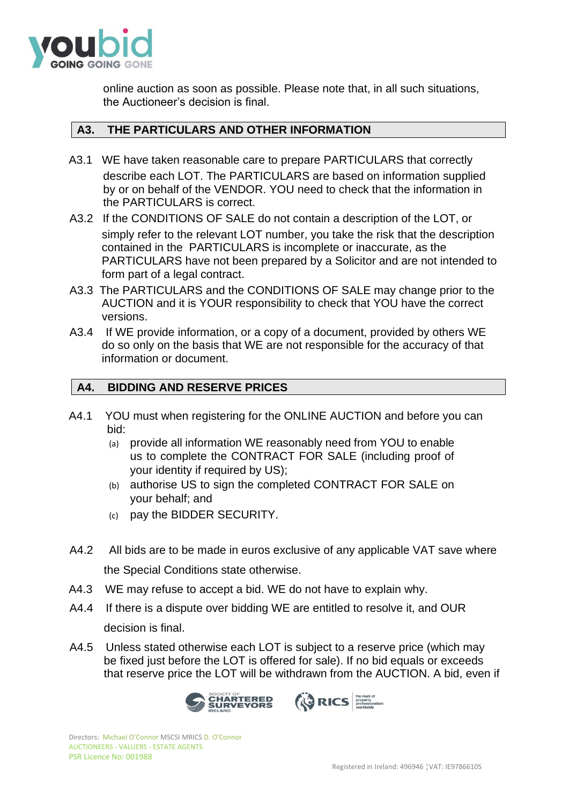

online auction as soon as possible. Please note that, in all such situations, the Auctioneer's decision is final.

# **A3. THE PARTICULARS AND OTHER INFORMATION**

- A3.1 WE have taken reasonable care to prepare PARTICULARS that correctly describe each LOT. The PARTICULARS are based on information supplied by or on behalf of the VENDOR. YOU need to check that the information in the PARTICULARS is correct.
- A3.2 If the CONDITIONS OF SALE do not contain a description of the LOT, or simply refer to the relevant LOT number, you take the risk that the description contained in the PARTICULARS is incomplete or inaccurate, as the PARTICULARS have not been prepared by a Solicitor and are not intended to form part of a legal contract.
- A3.3 The PARTICULARS and the CONDITIONS OF SALE may change prior to the AUCTION and it is YOUR responsibility to check that YOU have the correct versions.
- A3.4 If WE provide information, or a copy of a document, provided by others WE do so only on the basis that WE are not responsible for the accuracy of that information or document.

# **A4. BIDDING AND RESERVE PRICES**

- A4.1 YOU must when registering for the ONLINE AUCTION and before you can bid:
	- (a) provide all information WE reasonably need from YOU to enable us to complete the CONTRACT FOR SALE (including proof of your identity if required by US);
	- (b) authorise US to sign the completed CONTRACT FOR SALE on your behalf; and
	- (c) pay the BIDDER SECURITY.
- A4.2 All bids are to be made in euros exclusive of any applicable VAT save where the Special Conditions state otherwise.
- A4.3 WE may refuse to accept a bid. WE do not have to explain why.
- A4.4 If there is a dispute over bidding WE are entitled to resolve it, and OUR decision is final.
- A4.5 Unless stated otherwise each LOT is subject to a reserve price (which may be fixed just before the LOT is offered for sale). If no bid equals or exceeds that reserve price the LOT will be withdrawn from the AUCTION. A bid, even if

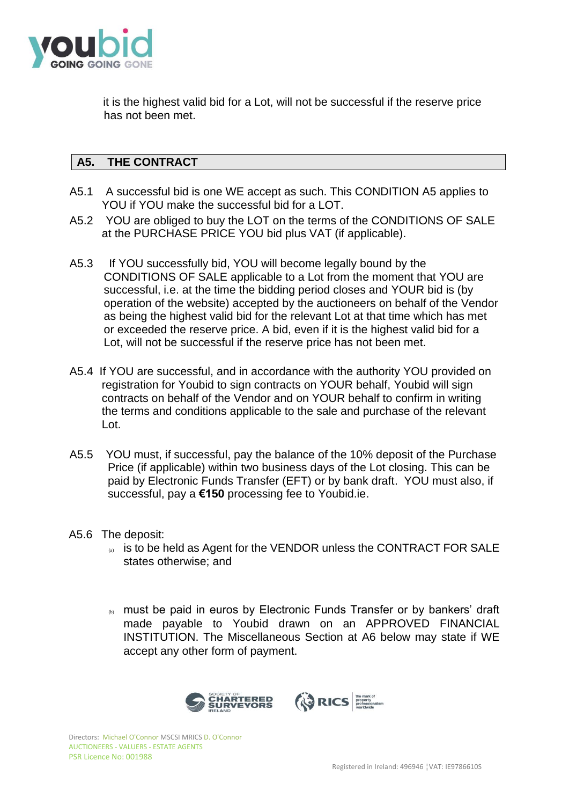

it is the highest valid bid for a Lot, will not be successful if the reserve price has not been met.

# **A5. THE CONTRACT**

- A5.1 A successful bid is one WE accept as such. This CONDITION A5 applies to YOU if YOU make the successful bid for a LOT.
- A5.2 YOU are obliged to buy the LOT on the terms of the CONDITIONS OF SALE at the PURCHASE PRICE YOU bid plus VAT (if applicable).
- A5.3 If YOU successfully bid, YOU will become legally bound by the CONDITIONS OF SALE applicable to a Lot from the moment that YOU are successful, i.e. at the time the bidding period closes and YOUR bid is (by operation of the website) accepted by the auctioneers on behalf of the Vendor as being the highest valid bid for the relevant Lot at that time which has met or exceeded the reserve price. A bid, even if it is the highest valid bid for a Lot, will not be successful if the reserve price has not been met.
- A5.4 If YOU are successful, and in accordance with the authority YOU provided on registration for Youbid to sign contracts on YOUR behalf, Youbid will sign contracts on behalf of the Vendor and on YOUR behalf to confirm in writing the terms and conditions applicable to the sale and purchase of the relevant Lot.
- A5.5 YOU must, if successful, pay the balance of the 10% deposit of the Purchase Price (if applicable) within two business days of the Lot closing. This can be paid by Electronic Funds Transfer (EFT) or by bank draft. YOU must also, if successful, pay a **€150** processing fee to Youbid.ie.
- A5.6 The deposit:
	- (a) is to be held as Agent for the VENDOR unless the CONTRACT FOR SALE states otherwise; and
	- (b) must be paid in euros by Electronic Funds Transfer or by bankers' draft made payable to Youbid drawn on an APPROVED FINANCIAL INSTITUTION. The Miscellaneous Section at A6 below may state if WE accept any other form of payment.

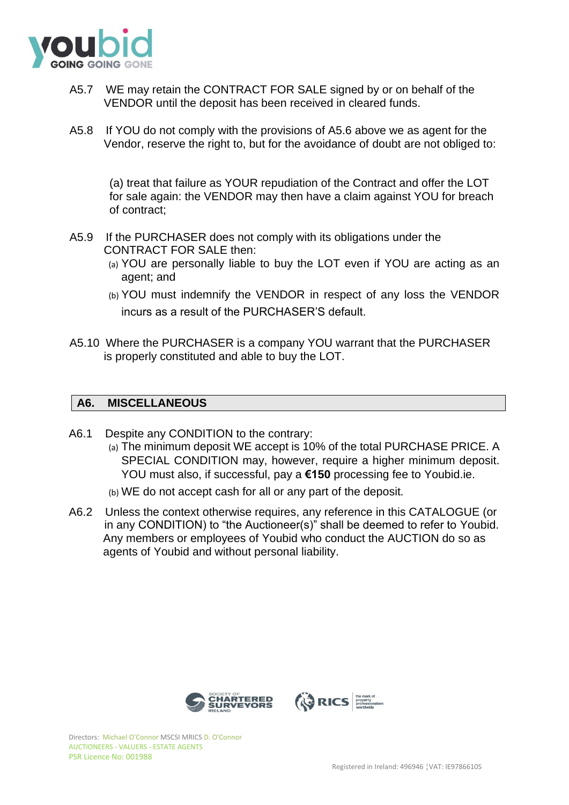

- A5.7 WE may retain the CONTRACT FOR SALE signed by or on behalf of the VENDOR until the deposit has been received in cleared funds.
- A5.8 If YOU do not comply with the provisions of A5.6 above we as agent for the Vendor, reserve the right to, but for the avoidance of doubt are not obliged to:

(a) treat that failure as YOUR repudiation of the Contract and offer the LOT for sale again: the VENDOR may then have a claim against YOU for breach of contract;

- A5.9 If the PURCHASER does not comply with its obligations under the CONTRACT FOR SALE then:
	- (a) YOU are personally liable to buy the LOT even if YOU are acting as an agent; and
	- (b) YOU must indemnify the VENDOR in respect of any loss the VENDOR incurs as a result of the PURCHASER'S default.
- A5.10 Where the PURCHASER is a company YOU warrant that the PURCHASER is properly constituted and able to buy the LOT.

# **A6. MISCELLANEOUS**

- A6.1 Despite any CONDITION to the contrary:
	- (a) The minimum deposit WE accept is 10% of the total PURCHASE PRICE. A SPECIAL CONDITION may, however, require a higher minimum deposit. YOU must also, if successful, pay a **€150** processing fee to Youbid.ie.
	- (b) WE do not accept cash for all or any part of the deposit.
- A6.2 Unless the context otherwise requires, any reference in this CATALOGUE (or in any CONDITION) to "the Auctioneer(s)" shall be deemed to refer to Youbid. Any members or employees of Youbid who conduct the AUCTION do so as agents of Youbid and without personal liability.



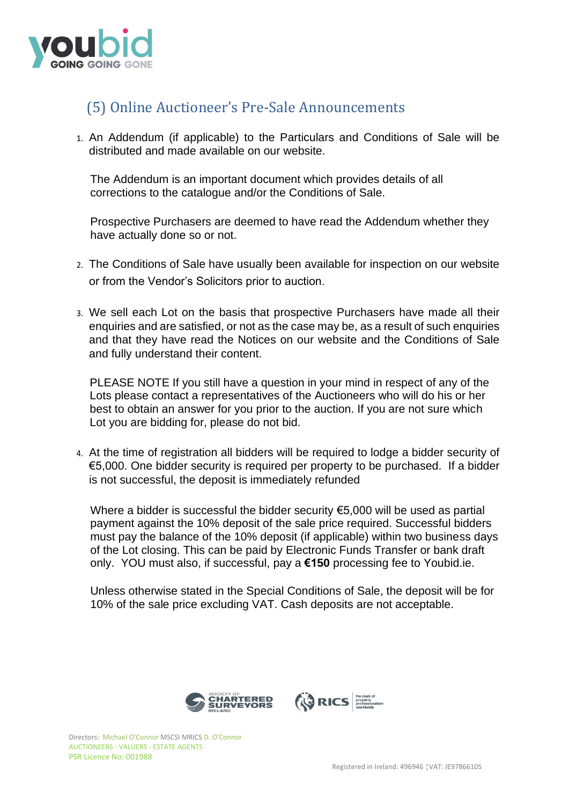

# (5) Online Auctioneer's Pre-Sale Announcements

1. An Addendum (if applicable) to the Particulars and Conditions of Sale will be distributed and made available on our website.

The Addendum is an important document which provides details of all corrections to the catalogue and/or the Conditions of Sale.

Prospective Purchasers are deemed to have read the Addendum whether they have actually done so or not.

- 2. The Conditions of Sale have usually been available for inspection on our website or from the Vendor's Solicitors prior to auction.
- 3. We sell each Lot on the basis that prospective Purchasers have made all their enquiries and are satisfied, or not as the case may be, as a result of such enquiries and that they have read the Notices on our website and the Conditions of Sale and fully understand their content.

PLEASE NOTE If you still have a question in your mind in respect of any of the Lots please contact a representatives of the Auctioneers who will do his or her best to obtain an answer for you prior to the auction. If you are not sure which Lot you are bidding for, please do not bid.

4. At the time of registration all bidders will be required to lodge a bidder security of €5,000. One bidder security is required per property to be purchased. If a bidder is not successful, the deposit is immediately refunded

Where a bidder is successful the bidder security €5,000 will be used as partial payment against the 10% deposit of the sale price required. Successful bidders must pay the balance of the 10% deposit (if applicable) within two business days of the Lot closing. This can be paid by Electronic Funds Transfer or bank draft only. YOU must also, if successful, pay a **€150** processing fee to Youbid.ie.

Unless otherwise stated in the Special Conditions of Sale, the deposit will be for 10% of the sale price excluding VAT. Cash deposits are not acceptable.